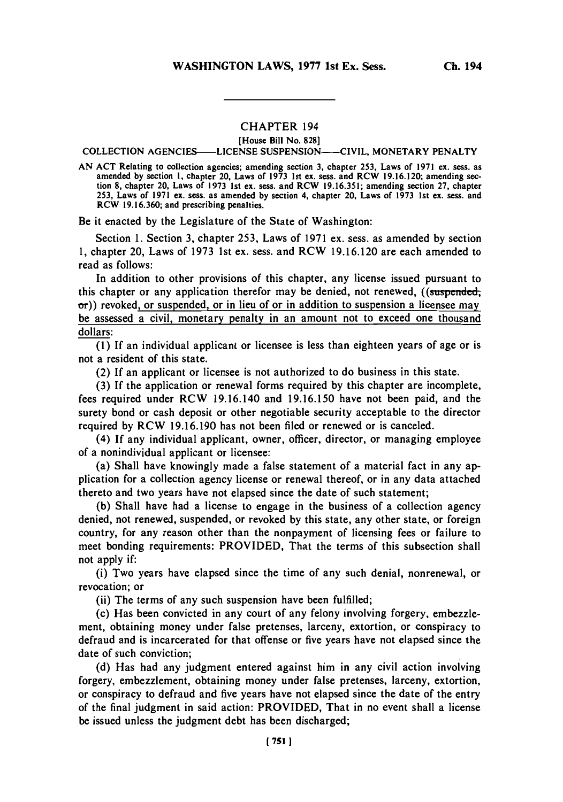## **CHAPTER** 194

[House Bill No. **828]** COLLECTION AGENCIES-LICENSE **SUSPENSION--CIVIL,** MONETARY PENALTY

**AN ACT** Relating to collection agencies; amending section **3,** chapter **253,** Laws of **1971** ex. sess. as amended **by** section **1,** chapter 20, Laws of **1973** 1st ex. sess. and RCW **19.16.120;** amending section **8,** chapter 20, Laws of **1973** 1st ex. sess. and RCW **19.16.351;** amending section **27,** chapter **253,** Laws of **1971** ex. sess. as amended **by** section 4, chapter 20, Laws of **1973** 1st ex. sess. and RCW **19.16.360;** and prescribing penalties.

Be it enacted **by** the Legislature of the State of Washington:

Section **1.** Section **3,** chapter **253, Laws of 1971 ex.** sess. as amended **by** section **1,** chapter 20, Laws of **1973** 1st ex. sess. and RCW **19.16.120** are each amended to read as follows:

In addition to other provisions of this chapter, any license issued pursuant to this chapter or any application therefor may be denied, not renewed, ((suspended,  $\sigma$ )) revoked, or suspended, or in lieu of or in addition to suspension a licensee may be assessed a civil, monetary penalty in an amount not to exceed one thousand dollars:

**(1)** If an individual applicant or licensee is less than eighteen years of age or is not a resident of this state.

(2) If an applicant or licensee is not authorized to do business in this state.

**(3)** If the application or renewal forms required **by** this chapter are incomplete, fees required under RCW 19.16.140 and **19.16.150** have not been paid, and the surety bond or cash deposit or other negotiable security acceptable to the director required **by** RCW **19.16.190** has not been filed or renewed or is canceled.

(4) If any individual applicant, owner, officer, director, or managing employee of a nonindividual applicant or licensee:

(a) Shall have knowingly made a false statement of a material fact in any application for a collection agency license or renewal thereof, or in any data attached thereto and two years have not elapsed since the date of such statement;

**(b)** Shall have had a license to engage in the business of a collection agency denied, not renewed, suspended, or revoked **by** this state, any other state, or foreign country, for any reason other than the nonpayment of licensing fees or failure to meet bonding requirements: PROVIDED, That the terms of this subsection shall not apply if:

(i) Two years have elapsed since the time of any such denial, nonrenewal, or revocation; or

(ii) The terms of any such suspension have been fulfilled;

(c) Has been convicted in any court of any felony involving forgery, embezzlement, obtaining money under false pretenses, larceny, extortion, or conspiracy to defraud and is incarcerated for that offense or five years have not elapsed since the date of such conviction;

**(d)** Has had any judgment entered against him in any civil action involving forgery, embezzlement, obtaining money under false pretenses, larceny, extortion, or conspiracy to defraud and five years have not elapsed since the date of the entry of the final judgment in said action: PROVIDED, That in no event shall a license be issued unless the judgment debt has been discharged;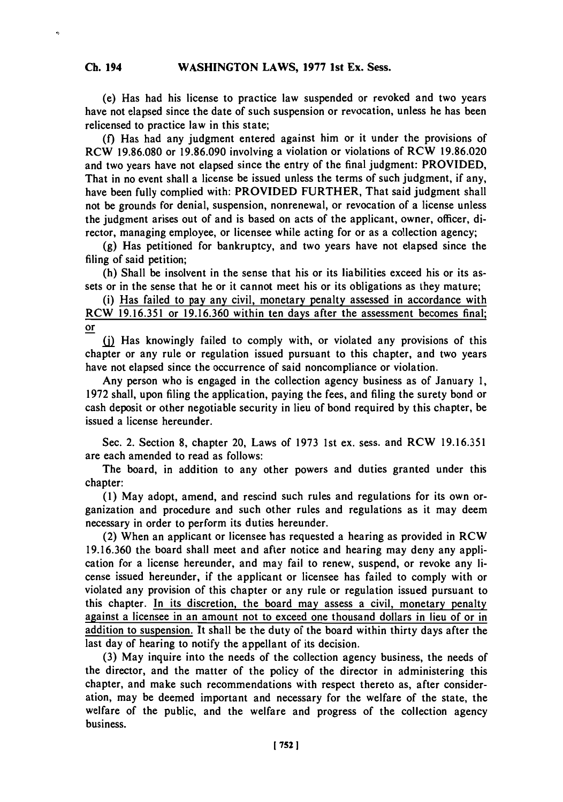**(e) Has** had his license to practice law suspended or revoked and two years have not elapsed since the date of such suspension or revocation, unless he has been relicensed to practice law in this state;

**(f)** Has had any judgment entered against him or it under the provisions of RCW **19.86.080** or **19.86.090** involving a violation or violations of RCW **19.86.020** and two years have not elapsed since the entry of the final judgment: PROVIDED, That in no event shall a license be issued unless the terms of such judgment, if any, have been fully complied with: PROVIDED FURTHER, That said judgment shall not be grounds for denial, suspension, nonrenewal, or revocation of a license unless the judgment arises out of and is based on acts of the applicant, owner, officer, director, managing employee, or licensee while acting for or as a collection agency;

**(g)** Has petitioned for bankruptcy, and two years have not elapsed since the filing of said petition;

(h) Shall be insolvent in the sense that his or its liabilities exceed his or its assets or in the sense that he or it cannot meet his or its obligations as they mature;

(i) Has failed to pay any civil, monetary penalty assessed in accordance with RCW **19.16.351** or **19.16.360** within ten days after the assessment becomes final; or

**ij)** Has knowingly failed to comply with, or violated any provisions of this chapter or any rule or regulation issued pursuant to this chapter, and two years have not elapsed since the occurrence of said noncompliance or violation.

Any person who is engaged in the collection agency business as of January **1, 1972** shall, upon filing the application, paying the fees, and filing the surety bond or cash deposit or other negotiable security in lieu of bond required **by** this chapter, be issued a license hereunder.

Sec. 2. Section **8,** chapter 20, Laws of **1973** 1st ex. sess. and RCW **19.16.351** are each amended to read as follows:

The board, in addition to any other powers and duties granted under this chapter:

**(1)** May adopt, amend, and rescind such rules and regulations for its own organization and procedure and such other rules and regulations as it may deem necessary in order to perform its duties hereunder.

(2) When an applicant or licensee has requested a hearing as provided in RCW **19.16.360** the board shall meet and after notice and hearing may deny any application for a license hereunder, and may fail to renew, suspend, or revoke any license issued hereunder, if the applicant or licensee has failed to comply with or violated any provision of this chapter or any rule or regulation issued pursuant to this chapter. In its discretion, the board may assess a civil, monetary penalty against a licensee in an amount not to exceed one thousand dollars in lieu of or in addition to suspension. It shall be the duty of the board within thirty days after the last day of hearing to notify the appellant of its decision.

**(3)** May inquire into the needs of the collection agency business, the needs of the director, and the matter of the policy of the director in administering this chapter, and make such recommendations with respect thereto as, after consideration, may be deemed important and necessary for the welfare of the state, the welfare of the public, and the welfare and progress of the collection agency business.

**1 752 1**